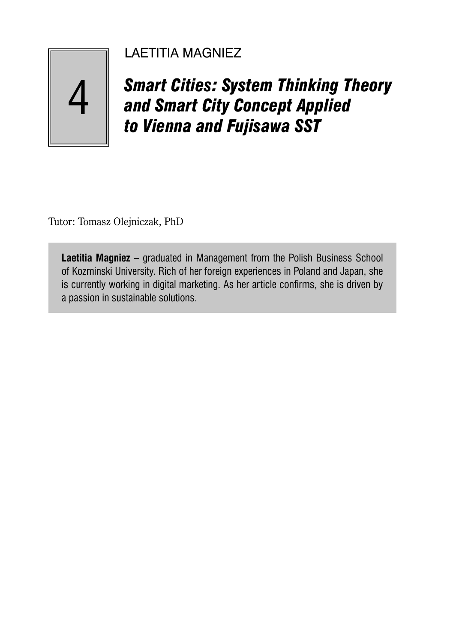# LAETITIA MAGNIEZ

*Smart Cities: System Thinking Theory and Smart City Concept Applied to Vienna and Fujisawa SST*

Tutor: Tomasz Olejniczak, PhD

4

**Laetitia Magniez** – graduated in Management from the Polish Business School of Kozminski University. Rich of her foreign experiences in Poland and Japan, she is currently working in digital marketing. As her article confirms, she is driven by a passion in sustainable solutions.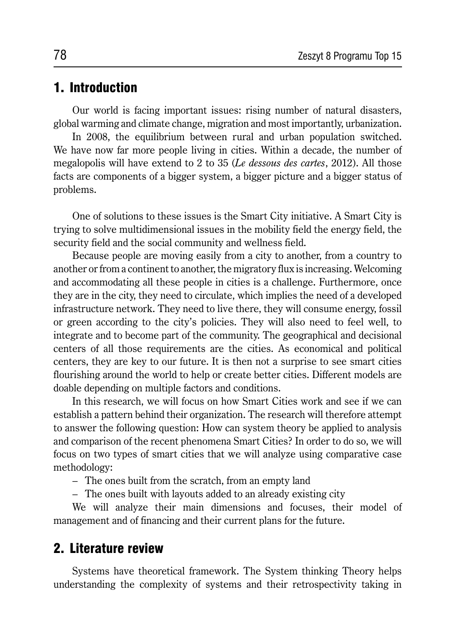## 1. Introduction

Our world is facing important issues: rising number of natural disasters, global warming and climate change, migration and most importantly, urbanization.

In 2008, the equilibrium between rural and urban population switched. We have now far more people living in cities. Within a decade, the number of megalopolis will have extend to 2 to 35 (*Le dessous des cartes*, 2012). All those facts are components of a bigger system, a bigger picture and a bigger status of problems.

One of solutions to these issues is the Smart City initiative. A Smart City is trying to solve multidimensional issues in the mobility field the energy field, the security field and the social community and wellness field.

Because people are moving easily from a city to another, from a country to another or from a continent to another, the migratory flux is increasing. Welcoming and accommodating all these people in cities is a challenge. Furthermore, once they are in the city, they need to circulate, which implies the need of a developed infrastructure network. They need to live there, they will consume energy, fossil or green according to the city's policies. They will also need to feel well, to integrate and to become part of the community. The geographical and decisional centers of all those requirements are the cities. As economical and political centers, they are key to our future. It is then not a surprise to see smart cities flourishing around the world to help or create better cities. Different models are doable depending on multiple factors and conditions.

In this research, we will focus on how Smart Cities work and see if we can establish a pattern behind their organization. The research will therefore attempt to answer the following question: How can system theory be applied to analysis and comparison of the recent phenomena Smart Cities? In order to do so, we will focus on two types of smart cities that we will analyze using comparative case methodology:

– The ones built from the scratch, from an empty land

– The ones built with layouts added to an already existing city

We will analyze their main dimensions and focuses, their model of management and of financing and their current plans for the future.

## 2. Literature review

Systems have theoretical framework. The System thinking Theory helps understanding the complexity of systems and their retrospectivity taking in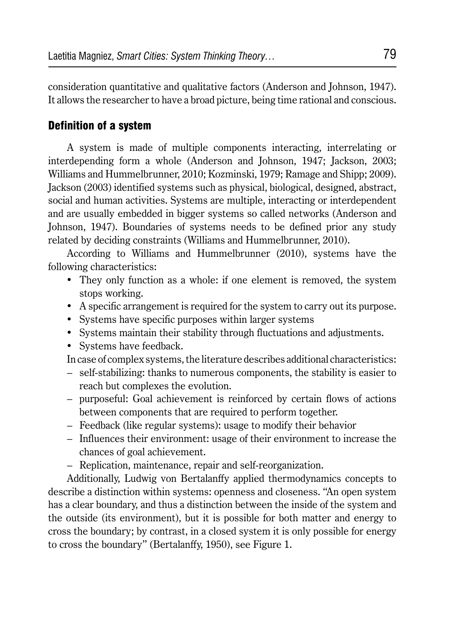consideration quantitative and qualitative factors (Anderson and Johnson, 1947). It allows the researcher to have a broad picture, being time rational and conscious.

### Definition of a system

A system is made of multiple components interacting, interrelating or interdepending form a whole (Anderson and Johnson, 1947; Jackson, 2003; Williams and Hummelbrunner, 2010; Kozminski, 1979; Ramage and Shipp; 2009). Jackson (2003) identified systems such as physical, biological, designed, abstract, social and human activities. Systems are multiple, interacting or interdependent and are usually embedded in bigger systems so called networks (Anderson and Johnson, 1947). Boundaries of systems needs to be defined prior any study related by deciding constraints (Williams and Hummelbrunner, 2010).

According to Williams and Hummelbrunner (2010), systems have the following characteristics:

- They only function as a whole: if one element is removed, the system stops working.
- A specific arrangement is required for the system to carry out its purpose.
- Systems have specific purposes within larger systems
- Systems maintain their stability through fluctuations and adjustments.
- Systems have feedback.

In case of complex systems, the literature describes additional characteristics:

- self-stabilizing: thanks to numerous components, the stability is easier to reach but complexes the evolution.
- purposeful: Goal achievement is reinforced by certain flows of actions between components that are required to perform together.
- Feedback (like regular systems): usage to modify their behavior
- Influences their environment: usage of their environment to increase the chances of goal achievement.
- Replication, maintenance, repair and self-reorganization.

Additionally, Ludwig von Bertalanffy applied thermodynamics concepts to describe a distinction within systems: openness and closeness. "An open system has a clear boundary, and thus a distinction between the inside of the system and the outside (its environment), but it is possible for both matter and energy to cross the boundary; by contrast, in a closed system it is only possible for energy to cross the boundary" (Bertalanffy, 1950), see Figure 1.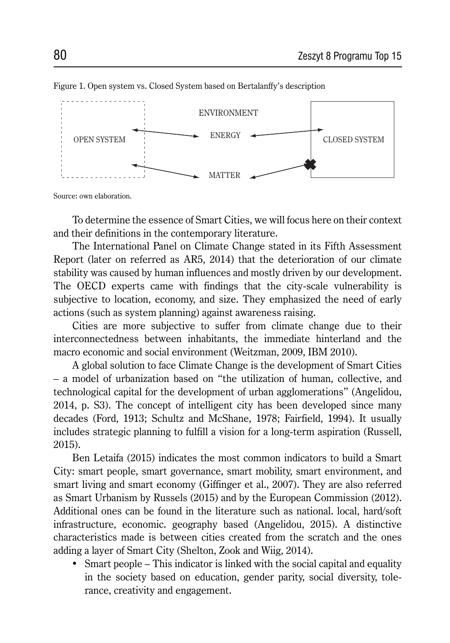

Figure 1. Open system vs. Closed System based on Bertalanffy's description

Source: own elaboration.

To determine the essence of Smart Cities, we will focus here on their context and their definitions in the contemporary literature.

The International Panel on Climate Change stated in its Fifth Assessment Report (later on referred as AR5, 2014) that the deterioration of our climate stability was caused by human influences and mostly driven by our development. The OECD experts came with findings that the city-scale vulnerability is subjective to location, economy, and size. They emphasized the need of early actions (such as system planning) against awareness raising.

Cities are more subjective to suffer from climate change due to their interconnectedness between inhabitants, the immediate hinterland and the macro economic and social environment (Weitzman, 2009, IBM 2010).

A global solution to face Climate Change is the development of Smart Cities – a model of urbanization based on "the utilization of human, collective, and technological capital for the development of urban agglomerations" (Angelidou, 2014, p. S3). The concept of intelligent city has been developed since many decades (Ford, 1913; Schultz and McShane, 1978; Fairfield, 1994). It usually includes strategic planning to fulfill a vision for a long-term aspiration (Russell, 2015).

Ben Letaifa (2015) indicates the most common indicators to build a Smart City: smart people, smart governance, smart mobility, smart environment, and smart living and smart economy (Giffinger et al., 2007). They are also referred as Smart Urbanism by Russels (2015) and by the European Commission (2012). Additional ones can be found in the literature such as national. local, hard/soft infrastructure, economic. geography based (Angelidou, 2015). A distinctive characteristics made is between cities created from the scratch and the ones adding a layer of Smart City (Shelton, Zook and Wiig, 2014).

• Smart people – This indicator is linked with the social capital and equality in the society based on education, gender parity, social diversity, tolerance, creativity and engagement.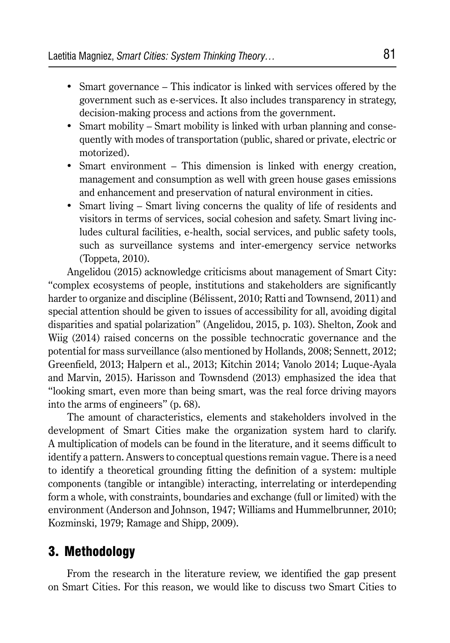- Smart governance This indicator is linked with services offered by the government such as e-services. It also includes transparency in strategy, decision-making process and actions from the government.
- Smart mobility Smart mobility is linked with urban planning and consequently with modes of transportation (public, shared or private, electric or motorized).
- Smart environment This dimension is linked with energy creation, management and consumption as well with green house gases emissions and enhancement and preservation of natural environment in cities.
- Smart living Smart living concerns the quality of life of residents and visitors in terms of services, social cohesion and safety. Smart living includes cultural facilities, e-health, social services, and public safety tools, such as surveillance systems and inter-emergency service networks (Toppeta, 2010).

Angelidou (2015) acknowledge criticisms about management of Smart City: "complex ecosystems of people, institutions and stakeholders are significantly harder to organize and discipline (Bélissent, 2010; Ratti and Townsend, 2011) and special attention should be given to issues of accessibility for all, avoiding digital disparities and spatial polarization" (Angelidou, 2015, p. 103). Shelton, Zook and Wiig (2014) raised concerns on the possible technocratic governance and the potential for mass surveillance (also mentioned by Hollands, 2008; Sennett, 2012; Greenfield, 2013; Halpern et al., 2013; Kitchin 2014; Vanolo 2014; Luque-Ayala and Marvin, 2015). Harisson and Townsdend (2013) emphasized the idea that "looking smart, even more than being smart, was the real force driving mayors into the arms of engineers" (p. 68).

The amount of characteristics, elements and stakeholders involved in the development of Smart Cities make the organization system hard to clarify. A multiplication of models can be found in the literature, and it seems difficult to identify a pattern. Answers to conceptual questions remain vague. There is a need to identify a theoretical grounding fitting the definition of a system: multiple components (tangible or intangible) interacting, interrelating or interdepending form a whole, with constraints, boundaries and exchange (full or limited) with the environment (Anderson and Johnson, 1947; Williams and Hummelbrunner, 2010; Kozminski, 1979; Ramage and Shipp, 2009).

## 3. Methodology

From the research in the literature review, we identified the gap present on Smart Cities. For this reason, we would like to discuss two Smart Cities to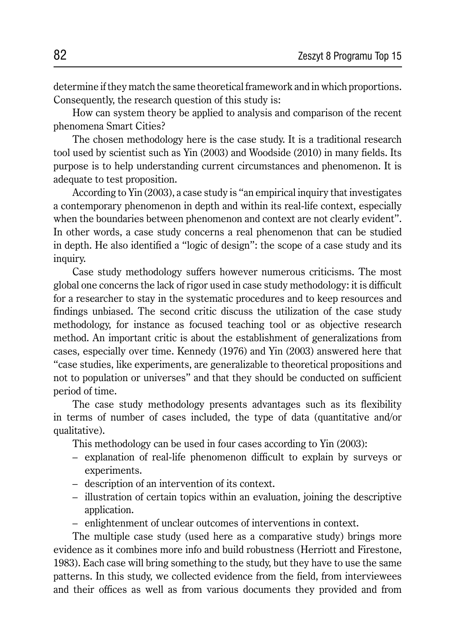determine if they match the same theoretical framework and in which proportions. Consequently, the research question of this study is:

How can system theory be applied to analysis and comparison of the recent phenomena Smart Cities?

The chosen methodology here is the case study. It is a traditional research tool used by scientist such as Yin (2003) and Woodside (2010) in many fields. Its purpose is to help understanding current circumstances and phenomenon. It is adequate to test proposition.

According to Yin (2003), a case study is "an empirical inquiry that investigates a contemporary phenomenon in depth and within its real-life context, especially when the boundaries between phenomenon and context are not clearly evident". In other words, a case study concerns a real phenomenon that can be studied in depth. He also identified a "logic of design": the scope of a case study and its inquiry.

Case study methodology suffers however numerous criticisms. The most global one concerns the lack of rigor used in case study methodology: it is difficult for a researcher to stay in the systematic procedures and to keep resources and findings unbiased. The second critic discuss the utilization of the case study methodology, for instance as focused teaching tool or as objective research method. An important critic is about the establishment of generalizations from cases, especially over time. Kennedy (1976) and Yin (2003) answered here that "case studies, like experiments, are generalizable to theoretical propositions and not to population or universes" and that they should be conducted on sufficient period of time.

The case study methodology presents advantages such as its flexibility in terms of number of cases included, the type of data (quantitative and/or qualitative).

This methodology can be used in four cases according to Yin (2003):

- explanation of real-life phenomenon difficult to explain by surveys or experiments.
- description of an intervention of its context.
- illustration of certain topics within an evaluation, joining the descriptive application.
- enlightenment of unclear outcomes of interventions in context.

The multiple case study (used here as a comparative study) brings more evidence as it combines more info and build robustness (Herriott and Firestone, 1983). Each case will bring something to the study, but they have to use the same patterns. In this study, we collected evidence from the field, from interviewees and their offices as well as from various documents they provided and from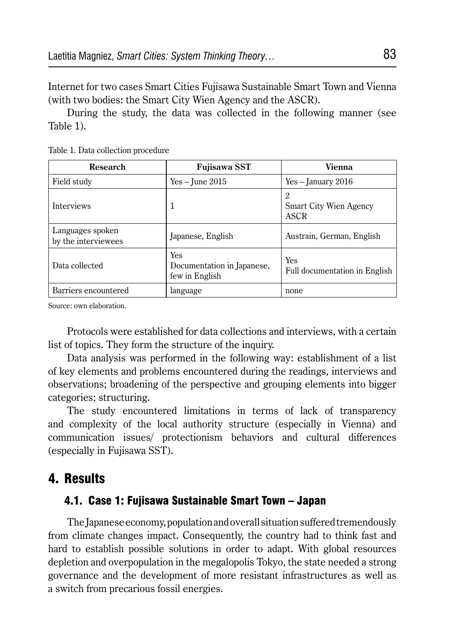Internet for two cases Smart Cities Fujisawa Sustainable Smart Town and Vienna (with two bodies: the Smart City Wien Agency and the ASCR).

During the study, the data was collected in the following manner (see Table 1).

| <b>Research</b>                         | <b>Fujisawa SST</b>                                 | <b>Vienna</b>                              |
|-----------------------------------------|-----------------------------------------------------|--------------------------------------------|
| Field study                             | $Yes - June 2015$                                   | $Yes - January 2016$                       |
| <b>Interviews</b>                       | 1                                                   | 2<br><b>Smart City Wien Agency</b><br>ASCR |
| Languages spoken<br>by the interviewees | Japanese, English                                   | Austrain, German, English                  |
| Data collected                          | Yes<br>Documentation in Japanese,<br>few in English | Yes<br>Full documentation in English       |
| Barriers encountered                    | language                                            | none                                       |

Table 1. Data collection procedure

Source: own elaboration.

Protocols were established for data collections and interviews, with a certain list of topics. They form the structure of the inquiry.

Data analysis was performed in the following way: establishment of a list of key elements and problems encountered during the readings, interviews and observations; broadening of the perspective and grouping elements into bigger categories; structuring.

The study encountered limitations in terms of lack of transparency and complexity of the local authority structure (especially in Vienna) and communication issues/ protectionism behaviors and cultural differences (especially in Fujisawa SST).

## 4. Results

### 4.1. Case 1: Fujisawa Sustainable Smart Town – Japan

The Japanese economy, population and overall situation suffered tremendously from climate changes impact. Consequently, the country had to think fast and hard to establish possible solutions in order to adapt. With global resources depletion and overpopulation in the megalopolis Tokyo, the state needed a strong governance and the development of more resistant infrastructures as well as a switch from precarious fossil energies.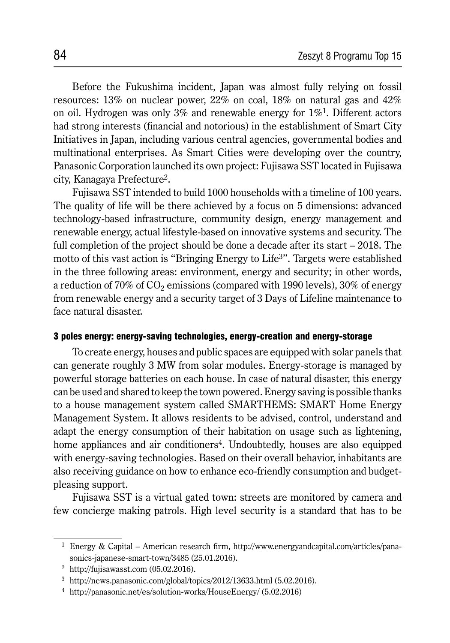Before the Fukushima incident, Japan was almost fully relying on fossil resources: 13% on nuclear power, 22% on coal, 18% on natural gas and 42% on oil. Hydrogen was only 3% and renewable energy for  $1\%$ <sup>1</sup>. Different actors had strong interests (financial and notorious) in the establishment of Smart City Initiatives in Japan, including various central agencies, governmental bodies and multinational enterprises. As Smart Cities were developing over the country, Panasonic Corporation launched its own project: Fujisawa SST located in Fujisawa city, Kanagaya Prefecture2.

Fujisawa SST intended to build 1000 households with a timeline of 100 years. The quality of life will be there achieved by a focus on 5 dimensions: advanced technology-based infrastructure, community design, energy management and renewable energy, actual lifestyle-based on innovative systems and security. The full completion of the project should be done a decade after its start – 2018. The motto of this vast action is "Bringing Energy to Life<sup>3</sup>". Targets were established in the three following areas: environment, energy and security; in other words, a reduction of 70% of  $CO<sub>2</sub>$  emissions (compared with 1990 levels), 30% of energy from renewable energy and a security target of 3 Days of Lifeline maintenance to face natural disaster.

#### 3 poles energy: energy-saving technologies, energy-creation and energy-storage

To create energy, houses and public spaces are equipped with solar panels that can generate roughly 3 MW from solar modules. Energy-storage is managed by powerful storage batteries on each house. In case of natural disaster, this energy can be used and shared to keep the town powered. Energy saving is possible thanks to a house management system called SMARTHEMS: SMART Home Energy Management System. It allows residents to be advised, control, understand and adapt the energy consumption of their habitation on usage such as lightening, home appliances and air conditioners<sup>4</sup>. Undoubtedly, houses are also equipped with energy-saving technologies. Based on their overall behavior, inhabitants are also receiving guidance on how to enhance eco-friendly consumption and budgetpleasing support.

Fujisawa SST is a virtual gated town: streets are monitored by camera and few concierge making patrols. High level security is a standard that has to be

<sup>1</sup> Energy & Capital – American research firm, http://www.energyandcapital.com/articles/panasonics-japanese-smart-town/3485 (25.01.2016).

<sup>2</sup> http://fujisawasst.com (05.02.2016).

<sup>3</sup> http://news.panasonic.com/global/topics/2012/13633.html (5.02.2016).

<sup>4</sup> http://panasonic.net/es/solution-works/HouseEnergy/ (5.02.2016)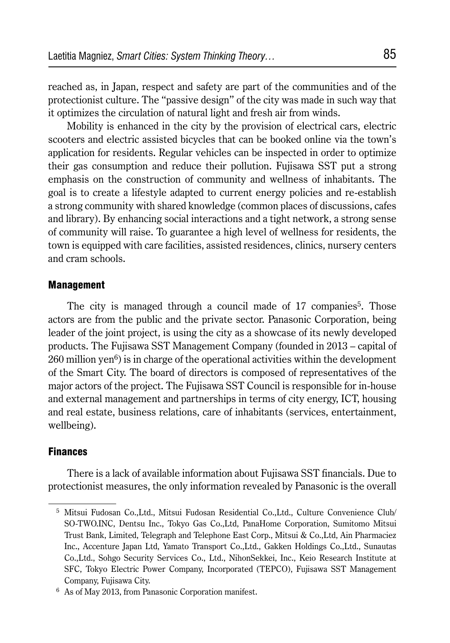reached as, in Japan, respect and safety are part of the communities and of the protectionist culture. The "passive design" of the city was made in such way that it optimizes the circulation of natural light and fresh air from winds.

Mobility is enhanced in the city by the provision of electrical cars, electric scooters and electric assisted bicycles that can be booked online via the town's application for residents. Regular vehicles can be inspected in order to optimize their gas consumption and reduce their pollution. Fujisawa SST put a strong emphasis on the construction of community and wellness of inhabitants. The goal is to create a lifestyle adapted to current energy policies and re-establish a strong community with shared knowledge (common places of discussions, cafes and library). By enhancing social interactions and a tight network, a strong sense of community will raise. To guarantee a high level of wellness for residents, the town is equipped with care facilities, assisted residences, clinics, nursery centers and cram schools.

#### Management

The city is managed through a council made of 17 companies<sup>5</sup>. Those actors are from the public and the private sector. Panasonic Corporation, being leader of the joint project, is using the city as a showcase of its newly developed products. The Fujisawa SST Management Company (founded in 2013 – capital of  $260$  million yen<sup>6</sup>) is in charge of the operational activities within the development of the Smart City. The board of directors is composed of representatives of the major actors of the project. The Fujisawa SST Council is responsible for in-house and external management and partnerships in terms of city energy, ICT, housing and real estate, business relations, care of inhabitants (services, entertainment, wellbeing).

### **Finances**

There is a lack of available information about Fujisawa SST financials. Due to protectionist measures, the only information revealed by Panasonic is the overall

<sup>5</sup> Mitsui Fudosan Co.,Ltd., Mitsui Fudosan Residential Co.,Ltd., Culture Convenience Club/ SO-TWO.INC, Dentsu Inc., Tokyo Gas Co.,Ltd, PanaHome Corporation, Sumitomo Mitsui Trust Bank, Limited, Telegraph and Telephone East Corp., Mitsui & Co.,Ltd, Ain Pharmaciez Inc., Accenture Japan Ltd, Yamato Transport Co.,Ltd., Gakken Holdings Co.,Ltd., Sunautas Co.,Ltd., Sohgo Security Services Co., Ltd., NihonSekkei, Inc., Keio Research Institute at SFC, Tokyo Electric Power Company, Incorporated (TEPCO), Fujisawa SST Management Company, Fujisawa City.

<sup>6</sup> As of May 2013, from Panasonic Corporation manifest.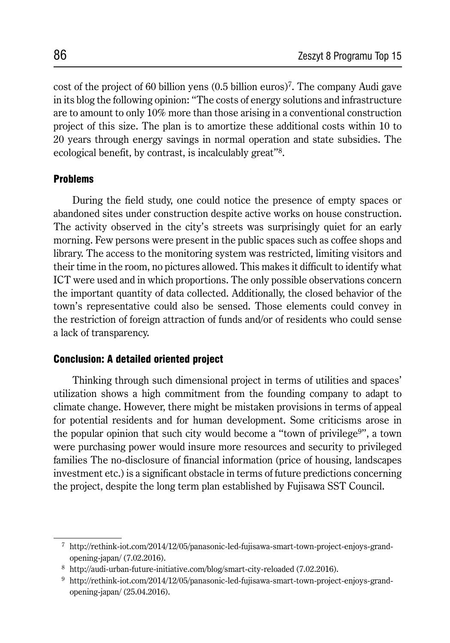cost of the project of 60 billion yens (0.5 billion euros)7. The company Audi gave in its blog the following opinion: "The costs of energy solutions and infrastructure are to amount to only 10% more than those arising in a conventional construction project of this size. The plan is to amortize these additional costs within 10 to 20 years through energy savings in normal operation and state subsidies. The ecological benefit, by contrast, is incalculably great"8.

### Problems

During the field study, one could notice the presence of empty spaces or abandoned sites under construction despite active works on house construction. The activity observed in the city's streets was surprisingly quiet for an early morning. Few persons were present in the public spaces such as coffee shops and library. The access to the monitoring system was restricted, limiting visitors and their time in the room, no pictures allowed. This makes it difficult to identify what ICT were used and in which proportions. The only possible observations concern the important quantity of data collected. Additionally, the closed behavior of the town's representative could also be sensed. Those elements could convey in the restriction of foreign attraction of funds and/or of residents who could sense a lack of transparency.

### Conclusion: A detailed oriented project

Thinking through such dimensional project in terms of utilities and spaces' utilization shows a high commitment from the founding company to adapt to climate change. However, there might be mistaken provisions in terms of appeal for potential residents and for human development. Some criticisms arose in the popular opinion that such city would become a "town of privilege9", a town were purchasing power would insure more resources and security to privileged families The no-disclosure of financial information (price of housing, landscapes investment etc.) is a significant obstacle in terms of future predictions concerning the project, despite the long term plan established by Fujisawa SST Council.

<sup>7</sup> http://rethink-iot.com/2014/12/05/panasonic-led-fujisawa-smart-town-project-enjoys-grandopening-japan/ (7.02.2016).

<sup>8</sup> http://audi-urban-future-initiative.com/blog/smart-city-reloaded (7.02.2016).

<sup>9</sup> http://rethink-iot.com/2014/12/05/panasonic-led-fujisawa-smart-town-project-enjoys-grandopening-japan/ (25.04.2016).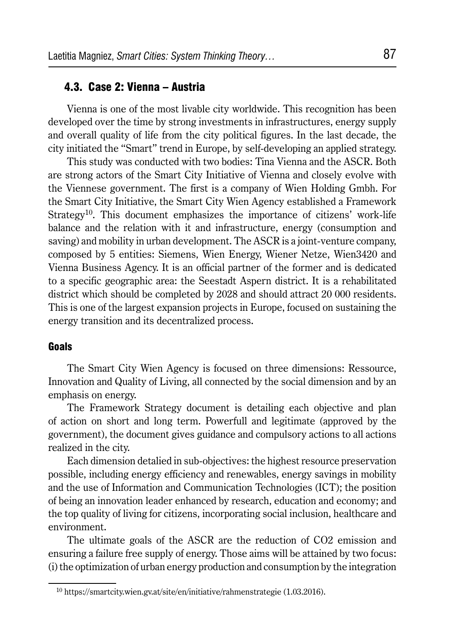### 4.3. Case 2: Vienna – Austria

Vienna is one of the most livable city worldwide. This recognition has been developed over the time by strong investments in infrastructures, energy supply and overall quality of life from the city political figures. In the last decade, the city initiated the "Smart" trend in Europe, by self-developing an applied strategy.

This study was conducted with two bodies: Tina Vienna and the ASCR. Both are strong actors of the Smart City Initiative of Vienna and closely evolve with the Viennese government. The first is a company of Wien Holding Gmbh. For the Smart City Initiative, the Smart City Wien Agency established a Framework Strategy<sup>10</sup>. This document emphasizes the importance of citizens' work-life balance and the relation with it and infrastructure, energy (consumption and saving) and mobility in urban development. The ASCR is a joint-venture company, composed by 5 entities: Siemens, Wien Energy, Wiener Netze, Wien3420 and Vienna Business Agency. It is an official partner of the former and is dedicated to a specific geographic area: the Seestadt Aspern district. It is a rehabilitated district which should be completed by 2028 and should attract 20 000 residents. This is one of the largest expansion projects in Europe, focused on sustaining the energy transition and its decentralized process.

#### Goals

The Smart City Wien Agency is focused on three dimensions: Ressource, Innovation and Quality of Living, all connected by the social dimension and by an emphasis on energy.

The Framework Strategy document is detailing each objective and plan of action on short and long term. Powerfull and legitimate (approved by the government), the document gives guidance and compulsory actions to all actions realized in the city.

Each dimension detalied in sub-objectives: the highest resource preservation possible, including energy efficiency and renewables, energy savings in mobility and the use of Information and Communication Technologies (ICT); the position of being an innovation leader enhanced by research, education and economy; and the top quality of living for citizens, incorporating social inclusion, healthcare and environment.

The ultimate goals of the ASCR are the reduction of CO2 emission and ensuring a failure free supply of energy. Those aims will be attained by two focus: (i) the optimization of urban energy production and consumption by the integration

<sup>10</sup> https://smartcity.wien.gv.at/site/en/initiative/rahmenstrategie (1.03.2016).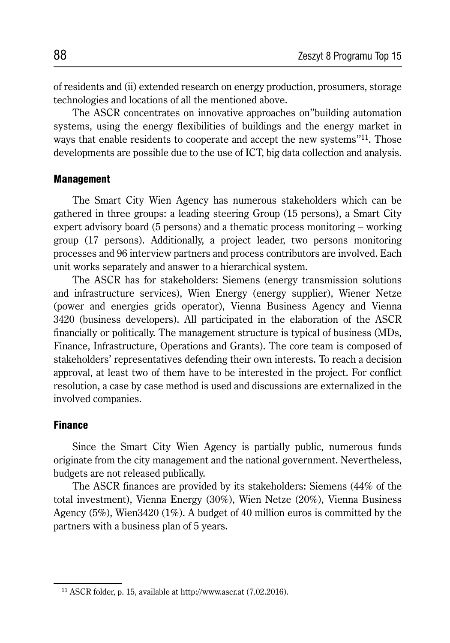of residents and (ii) extended research on energy production, prosumers, storage technologies and locations of all the mentioned above.

The ASCR concentrates on innovative approaches on"building automation systems, using the energy flexibilities of buildings and the energy market in ways that enable residents to cooperate and accept the new systems<sup>"11</sup>. Those developments are possible due to the use of ICT, big data collection and analysis.

#### **Management**

The Smart City Wien Agency has numerous stakeholders which can be gathered in three groups: a leading steering Group (15 persons), a Smart City expert advisory board (5 persons) and a thematic process monitoring – working group (17 persons). Additionally, a project leader, two persons monitoring processes and 96 interview partners and process contributors are involved. Each unit works separately and answer to a hierarchical system.

The ASCR has for stakeholders: Siemens (energy transmission solutions and infrastructure services), Wien Energy (energy supplier), Wiener Netze (power and energies grids operator), Vienna Business Agency and Vienna 3420 (business developers). All participated in the elaboration of the ASCR financially or politically. The management structure is typical of business (MDs, Finance, Infrastructure, Operations and Grants). The core team is composed of stakeholders' representatives defending their own interests. To reach a decision approval, at least two of them have to be interested in the project. For conflict resolution, a case by case method is used and discussions are externalized in the involved companies.

#### **Finance**

Since the Smart City Wien Agency is partially public, numerous funds originate from the city management and the national government. Nevertheless, budgets are not released publically.

The ASCR finances are provided by its stakeholders: Siemens (44% of the total investment), Vienna Energy (30%), Wien Netze (20%), Vienna Business Agency (5%), Wien3420 (1%). A budget of 40 million euros is committed by the partners with a business plan of 5 years.

<sup>11</sup> ASCR folder, p. 15, available at http://www.ascr.at (7.02.2016).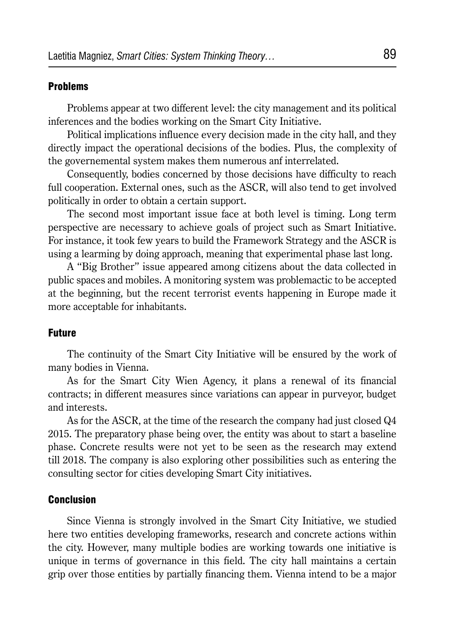### Problems

Problems appear at two different level: the city management and its political inferences and the bodies working on the Smart City Initiative.

Political implications influence every decision made in the city hall, and they directly impact the operational decisions of the bodies. Plus, the complexity of the governemental system makes them numerous anf interrelated.

Consequently, bodies concerned by those decisions have difficulty to reach full cooperation. External ones, such as the ASCR, will also tend to get involved politically in order to obtain a certain support.

The second most important issue face at both level is timing. Long term perspective are necessary to achieve goals of project such as Smart Initiative. For instance, it took few years to build the Framework Strategy and the ASCR is using a learming by doing approach, meaning that experimental phase last long.

A "Big Brother" issue appeared among citizens about the data collected in public spaces and mobiles. A monitoring system was problemactic to be accepted at the beginning, but the recent terrorist events happening in Europe made it more acceptable for inhabitants.

### **Future**

The continuity of the Smart City Initiative will be ensured by the work of many bodies in Vienna.

As for the Smart City Wien Agency, it plans a renewal of its financial contracts; in different measures since variations can appear in purveyor, budget and interests.

As for the ASCR, at the time of the research the company had just closed Q4 2015. The preparatory phase being over, the entity was about to start a baseline phase. Concrete results were not yet to be seen as the research may extend till 2018. The company is also exploring other possibilities such as entering the consulting sector for cities developing Smart City initiatives.

#### Conclusion

Since Vienna is strongly involved in the Smart City Initiative, we studied here two entities developing frameworks, research and concrete actions within the city. However, many multiple bodies are working towards one initiative is unique in terms of governance in this field. The city hall maintains a certain grip over those entities by partially financing them. Vienna intend to be a major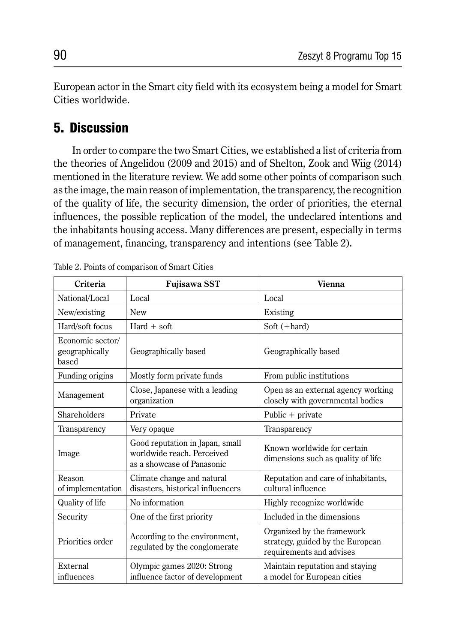European actor in the Smart city field with its ecosystem being a model for Smart Cities worldwide.

## 5. Discussion

In order to compare the two Smart Cities, we established a list of criteria from the theories of Angelidou (2009 and 2015) and of Shelton, Zook and Wiig (2014) mentioned in the literature review. We add some other points of comparison such as the image, the main reason of implementation, the transparency, the recognition of the quality of life, the security dimension, the order of priorities, the eternal influences, the possible replication of the model, the undeclared intentions and the inhabitants housing access. Many differences are present, especially in terms of management, financing, transparency and intentions (see Table 2).

| Criteria                                    | <b>Fujisawa SST</b>                                                                         | <b>Vienna</b>                                                                              |  |
|---------------------------------------------|---------------------------------------------------------------------------------------------|--------------------------------------------------------------------------------------------|--|
| National/Local                              | Local                                                                                       | Local                                                                                      |  |
| New/existing                                | <b>New</b>                                                                                  | Existing                                                                                   |  |
| Hard/soft focus                             | $Hard + soft$                                                                               | Soft $(+hard)$                                                                             |  |
| Economic sector/<br>geographically<br>based | Geographically based                                                                        | Geographically based                                                                       |  |
| Funding origins                             | Mostly form private funds                                                                   | From public institutions                                                                   |  |
| Management                                  | Close, Japanese with a leading<br>organization                                              | Open as an external agency working<br>closely with governmental bodies                     |  |
| Shareholders                                | Private                                                                                     | Public $+$ private                                                                         |  |
| Transparency                                | Very opaque                                                                                 | Transparency                                                                               |  |
| Image                                       | Good reputation in Japan, small<br>worldwide reach. Perceived<br>as a showcase of Panasonic | Known worldwide for certain<br>dimensions such as quality of life                          |  |
| Reason<br>of implementation                 | Climate change and natural<br>disasters, historical influencers                             | Reputation and care of inhabitants,<br>cultural influence                                  |  |
| Quality of life                             | No information                                                                              | Highly recognize worldwide                                                                 |  |
| Security                                    | One of the first priority                                                                   | Included in the dimensions                                                                 |  |
| Priorities order                            | According to the environment,<br>regulated by the conglomerate                              | Organized by the framework<br>strategy, guided by the European<br>requirements and advises |  |
| External<br>influences                      | Olympic games 2020: Strong<br>influence factor of development                               | Maintain reputation and staying<br>a model for European cities                             |  |

Table 2. Points of comparison of Smart Cities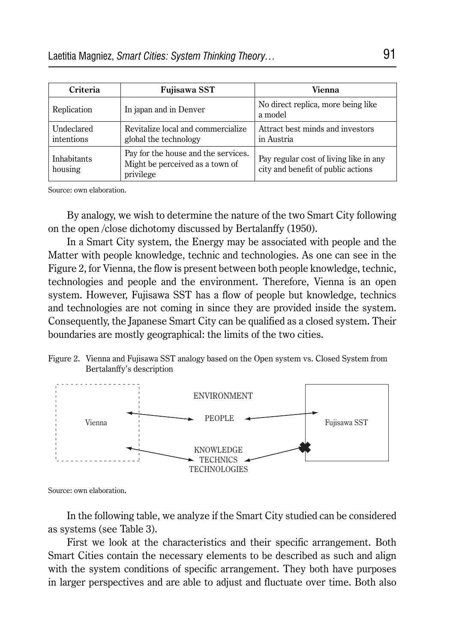| Criteria                 | Fujisawa SST                                                                        | Vienna                                                                       |
|--------------------------|-------------------------------------------------------------------------------------|------------------------------------------------------------------------------|
| Replication              | In japan and in Denver                                                              | No direct replica, more being like<br>a model                                |
| Undeclared<br>intentions | Revitalize local and commercialize<br>global the technology                         | Attract best minds and investors<br>in Austria                               |
| Inhabitants<br>housing   | Pay for the house and the services.<br>Might be perceived as a town of<br>privilege | Pay regular cost of living like in any<br>city and benefit of public actions |

Source: own elaboration.

By analogy, we wish to determine the nature of the two Smart City following on the open /close dichotomy discussed by Bertalanffy (1950).

In a Smart City system, the Energy may be associated with people and the Matter with people knowledge, technic and technologies. As one can see in the Figure 2, for Vienna, the flow is present between both people knowledge, technic, technologies and people and the environment. Therefore, Vienna is an open system. However, Fujisawa SST has a flow of people but knowledge, technics and technologies are not coming in since they are provided inside the system. Consequently, the Japanese Smart City can be qualified as a closed system. Their boundaries are mostly geographical: the limits of the two cities.

Figure 2. Vienna and Fujisawa SST analogy based on the Open system vs. Closed System from Bertalanffy's description



Source: own elaboration**.**

In the following table, we analyze if the Smart City studied can be considered as systems (see Table 3).

First we look at the characteristics and their specific arrangement. Both Smart Cities contain the necessary elements to be described as such and align with the system conditions of specific arrangement. They both have purposes in larger perspectives and are able to adjust and fluctuate over time. Both also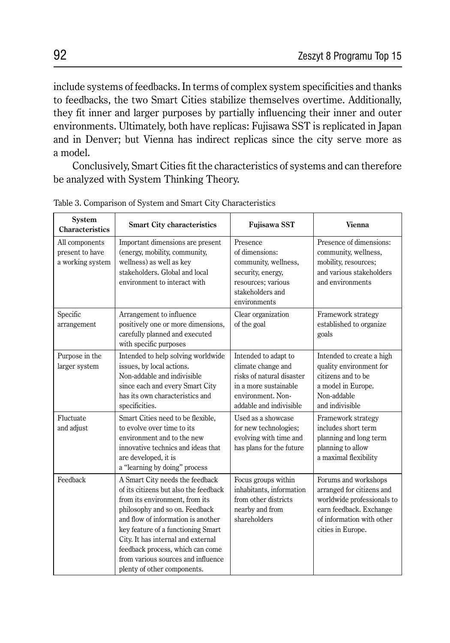include systems of feedbacks. In terms of complex system specificities and thanks to feedbacks, the two Smart Cities stabilize themselves overtime. Additionally, they fit inner and larger purposes by partially influencing their inner and outer environments. Ultimately, both have replicas: Fujisawa SST is replicated in Japan and in Denver; but Vienna has indirect replicas since the city serve more as a model.

Conclusively, Smart Cities fit the characteristics of systems and can therefore be analyzed with System Thinking Theory.

| System<br><b>Characteristics</b>                      | <b>Smart City characteristics</b>                                                                                                                                                                                                                                                                                                                                       | <b>Fujisawa SST</b>                                                                                                                              | <b>Vienna</b>                                                                                                                                                |
|-------------------------------------------------------|-------------------------------------------------------------------------------------------------------------------------------------------------------------------------------------------------------------------------------------------------------------------------------------------------------------------------------------------------------------------------|--------------------------------------------------------------------------------------------------------------------------------------------------|--------------------------------------------------------------------------------------------------------------------------------------------------------------|
| All components<br>present to have<br>a working system | Important dimensions are present<br>(energy, mobility, community,<br>wellness) as well as key<br>stakeholders. Global and local<br>environment to interact with                                                                                                                                                                                                         | Presence<br>of dimensions:<br>community, wellness,<br>security, energy,<br>resources; various<br>stakeholders and<br>environments                | Presence of dimensions:<br>community, wellness,<br>mobility, resources;<br>and various stakeholders<br>and environments                                      |
| Specific<br>arrangement                               | Arrangement to influence<br>positively one or more dimensions,<br>carefully planned and executed<br>with specific purposes                                                                                                                                                                                                                                              | Clear organization<br>of the goal                                                                                                                | Framework strategy<br>established to organize<br>goals                                                                                                       |
| Purpose in the<br>larger system                       | Intended to help solving worldwide<br>issues, by local actions.<br>Non-addable and indivisible<br>since each and every Smart City<br>has its own characteristics and<br>specificities.                                                                                                                                                                                  | Intended to adapt to<br>climate change and<br>risks of natural disaster<br>in a more sustainable<br>environment. Non-<br>addable and indivisible | Intended to create a high<br>quality environment for<br>citizens and to be<br>a model in Europe.<br>Non-addable<br>and indivisible                           |
| Fluctuate<br>and adjust                               | Smart Cities need to be flexible,<br>to evolve over time to its<br>environment and to the new<br>innovative technics and ideas that<br>are developed, it is<br>a "learning by doing" process                                                                                                                                                                            | Used as a showcase<br>for new technologies;<br>evolving with time and<br>has plans for the future                                                | Framework strategy<br>includes short term<br>planning and long term<br>planning to allow<br>a maximal flexibility                                            |
| Feedback                                              | A Smart City needs the feedback<br>of its citizens but also the feedback<br>from its environment, from its<br>philosophy and so on. Feedback<br>and flow of information is another<br>key feature of a functioning Smart<br>City. It has internal and external<br>feedback process, which can come<br>from various sources and influence<br>plenty of other components. | Focus groups within<br>inhabitants, information<br>from other districts<br>nearby and from<br>shareholders                                       | Forums and workshops<br>arranged for citizens and<br>worldwide professionals to<br>earn feedback. Exchange<br>of information with other<br>cities in Europe. |

Table 3. Comparison of System and Smart City Characteristics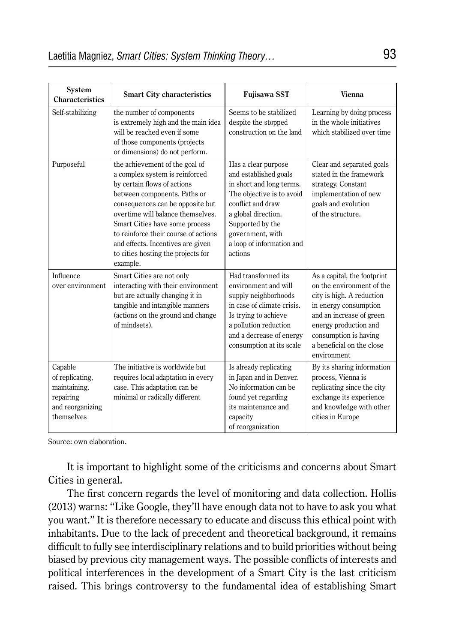| System<br>Characteristics                                                                 | <b>Smart City characteristics</b>                                                                                                                                                                                                                                                                                                                                         | <b>Fujisawa SST</b>                                                                                                                                                                                                               | Vienna                                                                                                                                                                                                                                   |
|-------------------------------------------------------------------------------------------|---------------------------------------------------------------------------------------------------------------------------------------------------------------------------------------------------------------------------------------------------------------------------------------------------------------------------------------------------------------------------|-----------------------------------------------------------------------------------------------------------------------------------------------------------------------------------------------------------------------------------|------------------------------------------------------------------------------------------------------------------------------------------------------------------------------------------------------------------------------------------|
| Self-stabilizing                                                                          | the number of components<br>is extremely high and the main idea<br>will be reached even if some<br>of those components (projects<br>or dimensions) do not perform.                                                                                                                                                                                                        | Seems to be stabilized<br>despite the stopped<br>construction on the land                                                                                                                                                         | Learning by doing process<br>in the whole initiatives<br>which stabilized over time                                                                                                                                                      |
| Purposeful                                                                                | the achievement of the goal of<br>a complex system is reinforced<br>by certain flows of actions<br>between components. Paths or<br>consequences can be opposite but<br>overtime will balance themselves.<br>Smart Cities have some process<br>to reinforce their course of actions<br>and effects. Incentives are given<br>to cities hosting the projects for<br>example. | Has a clear purpose<br>and established goals<br>in short and long terms.<br>The objective is to avoid<br>conflict and draw<br>a global direction.<br>Supported by the<br>government, with<br>a loop of information and<br>actions | Clear and separated goals<br>stated in the framework<br>strategy. Constant<br>implementation of new<br>goals and evolution<br>of the structure.                                                                                          |
| Influence<br>over environment                                                             | Smart Cities are not only<br>interacting with their environment<br>but are actually changing it in<br>tangible and intangible manners<br>(actions on the ground and change)<br>of mindsets).                                                                                                                                                                              | Had transformed its<br>environment and will<br>supply neighborhoods<br>in case of climate crisis.<br>Is trying to achieve<br>a pollution reduction<br>and a decrease of energy<br>consumption at its scale                        | As a capital, the footprint<br>on the environment of the<br>city is high. A reduction<br>in energy consumption<br>and an increase of green<br>energy production and<br>consumption is having<br>a beneficial on the close<br>environment |
| Capable<br>of replicating,<br>maintaining,<br>repairing<br>and reorganizing<br>themselves | The initiative is worldwide but<br>requires local adaptation in every<br>case. This adaptation can be<br>minimal or radically different                                                                                                                                                                                                                                   | Is already replicating<br>in Japan and in Denver.<br>No information can be<br>found yet regarding<br>its maintenance and<br>capacity<br>of reorganization                                                                         | By its sharing information<br>process, Vienna is<br>replicating since the city<br>exchange its experience<br>and knowledge with other<br>cities in Europe                                                                                |

Source: own elaboration.

It is important to highlight some of the criticisms and concerns about Smart Cities in general.

The first concern regards the level of monitoring and data collection. Hollis (2013) warns: "Like Google, they'll have enough data not to have to ask you what you want." It is therefore necessary to educate and discuss this ethical point with inhabitants. Due to the lack of precedent and theoretical background, it remains difficult to fully see interdisciplinary relations and to build priorities without being biased by previous city management ways. The possible conflicts of interests and political interferences in the development of a Smart City is the last criticism raised. This brings controversy to the fundamental idea of establishing Smart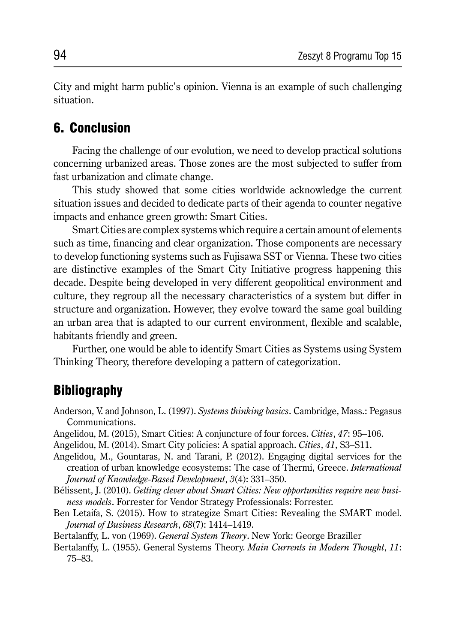City and might harm public's opinion. Vienna is an example of such challenging situation.

## 6. Conclusion

Facing the challenge of our evolution, we need to develop practical solutions concerning urbanized areas. Those zones are the most subjected to suffer from fast urbanization and climate change.

This study showed that some cities worldwide acknowledge the current situation issues and decided to dedicate parts of their agenda to counter negative impacts and enhance green growth: Smart Cities.

Smart Cities are complex systems which require a certain amount of elements such as time, financing and clear organization. Those components are necessary to develop functioning systems such as Fujisawa SST or Vienna. These two cities are distinctive examples of the Smart City Initiative progress happening this decade. Despite being developed in very different geopolitical environment and culture, they regroup all the necessary characteristics of a system but differ in structure and organization. However, they evolve toward the same goal building an urban area that is adapted to our current environment, flexible and scalable, habitants friendly and green.

Further, one would be able to identify Smart Cities as Systems using System Thinking Theory, therefore developing a pattern of categorization.

## **Bibliography**

Anderson, V. and Johnson, L. (1997). *Systems thinking basics*. Cambridge, Mass.: Pegasus Communications.

Angelidou, M. (2015), Smart Cities: A conjuncture of four forces. *Cities*, *47*: 95–106.

Angelidou, M. (2014). Smart City policies: A spatial approach. *Cities*, *41*, S3–S11.

- Angelidou, M., Gountaras, N. and Tarani, P. (2012). Engaging digital services for the creation of urban knowledge ecosystems: The case of Thermi, Greece. *International Journal of Knowledge-Based Development*, *3*(4): 331–350.
- Bélissent, J. (2010). *Getting clever about Smart Cities: New opportunities require new business models*. Forrester for Vendor Strategy Professionals: Forrester.
- Ben Letaifa, S. (2015). How to strategize Smart Cities: Revealing the SMART model. *Journal of Business Research*, *68*(7): 1414–1419.

Bertalanffy, L. von (1969). *General System Theory*. New York: George Braziller

Bertalanffy, L. (1955). General Systems Theory. *Main Currents in Modern Thought*, *11*: 75–83.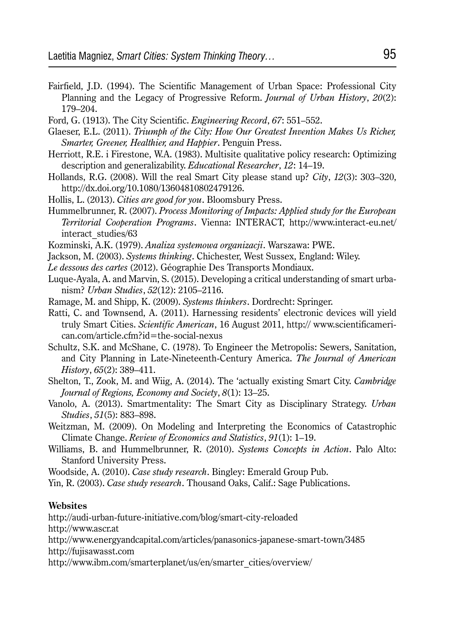- Fairfield, J.D. (1994). The Scientific Management of Urban Space: Professional City Planning and the Legacy of Progressive Reform. *Journal of Urban History*, *20*(2): 179–204.
- Ford, G. (1913). The City Scientific. *Engineering Record*, *67*: 551–552.
- Glaeser, E.L. (2011). *Triumph of the City: How Our Greatest Invention Makes Us Richer, Smarter, Greener, Healthier, and Happier*. Penguin Press.
- Herriott, R.E. i Firestone, W.A. (1983). Multisite qualitative policy research: Optimizing description and generalizability. *Educational Researcher*, *12*: 14–19.
- Hollands, R.G. (2008). Will the real Smart City please stand up? *City*, *12*(3): 303–320, http://dx.doi.org/10.1080/13604810802479126.
- Hollis, L. (2013). *Cities are good for you*. Bloomsbury Press.
- Hummelbrunner, R. (2007). *Process Monitoring of Impacts: Applied study for the European Territorial Cooperation Programs*. Vienna: INTERACT, http://www.interact-eu.net/ interact\_studies/63
- Kozminski, A.K. (1979). *Analiza systemowa organizacji*. Warszawa: PWE.
- Jackson, M. (2003). *Systems thinking*. Chichester, West Sussex, England: Wiley.
- *Le dessous des cartes* (2012). Géographie Des Transports Mondiaux.
- Luque-Ayala, A. and Marvin, S. (2015). Developing a critical understanding of smart urbanism? *Urban Studies*, *52*(12): 2105–2116.
- Ramage, M. and Shipp, K. (2009). *Systems thinkers*. Dordrecht: Springer.
- Ratti, C. and Townsend, A. (2011). Harnessing residents' electronic devices will yield truly Smart Cities. *Scientific American*, 16 August 2011, http:// www.scientificamerican.com/article.cfm?id=the-social-nexus
- Schultz, S.K. and McShane, C. (1978). To Engineer the Metropolis: Sewers, Sanitation, and City Planning in Late-Nineteenth-Century America. *The Journal of American History*, *65*(2): 389–411.
- Shelton, T., Zook, M. and Wiig, A. (2014). The 'actually existing Smart City. *Cambridge Journal of Regions, Economy and Society*, *8*(1): 13–25.
- Vanolo, A. (2013). Smartmentality: The Smart City as Disciplinary Strategy. *Urban Studies*, *51*(5): 883–898.
- Weitzman, M. (2009). On Modeling and Interpreting the Economics of Catastrophic Climate Change. *Review of Economics and Statistics*, *91*(1): 1–19.
- Williams, B. and Hummelbrunner, R. (2010). *Systems Concepts in Action*. Palo Alto: Stanford University Press.

Woodside, A. (2010). *Case study research*. Bingley: Emerald Group Pub.

Yin, R. (2003). *Case study research*. Thousand Oaks, Calif.: Sage Publications.

#### **Websites**

http://audi-urban-future-initiative.com/blog/smart-city-reloaded

http://www.ascr.at

http://www.energyandcapital.com/articles/panasonics-japanese-smart-town/3485 http://fujisawasst.com

http://www.ibm.com/smarterplanet/us/en/smarter\_cities/overview/